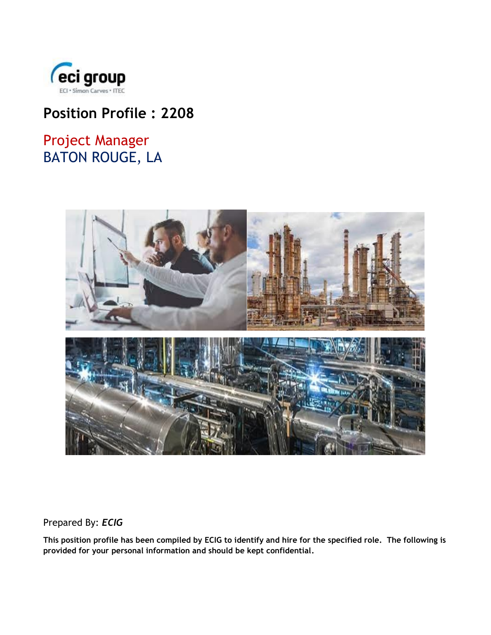

# **Position Profile : 2208**

# Project Manager BATON ROUGE, LA



Prepared By: *ECIG*

**This position profile has been compiled by ECIG to identify and hire for the specified role. The following is provided for your personal information and should be kept confidential.**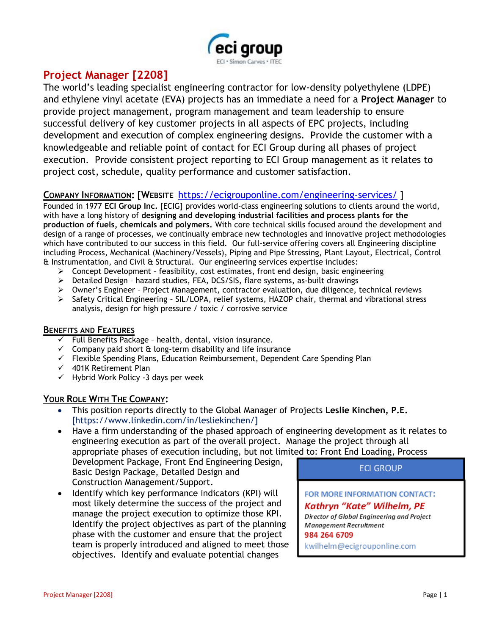

# **Project Manager [2208]**

The world's leading specialist engineering contractor for low-density polyethylene (LDPE) and ethylene vinyl acetate (EVA) projects has an immediate a need for a **Project Manager** to provide project management, program management and team leadership to ensure successful delivery of key customer projects in all aspects of EPC projects, including development and execution of complex engineering designs. Provide the customer with a knowledgeable and reliable point of contact for ECI Group during all phases of project execution. Provide consistent project reporting to ECI Group management as it relates to project cost, schedule, quality performance and customer satisfaction.

## **COMPANY INFORMATION: [WEBSITE** <https://ecigrouponline.com/engineering-services/> ]

Founded in 1977 **ECI Group Inc.** [ECIG] provides world-class engineering solutions to clients around the world, with have a long history of **designing and developing industrial facilities and process plants for the production of fuels, chemicals and polymers.** With core technical skills focused around the development and design of a range of processes, we continually embrace new technologies and innovative project methodologies which have contributed to our success in this field. Our full-service offering covers all Engineering discipline including Process, Mechanical (Machinery/Vessels), Piping and Pipe Stressing, Plant Layout, Electrical, Control & Instrumentation, and Civil & Structural. Our engineering services expertise includes:

- $\triangleright$  Concept Development feasibility, cost estimates, front end design, basic engineering
- ➢ Detailed Design hazard studies, FEA, DCS/SIS, flare systems, as-built drawings
- ➢ Owner's Engineer Project Management, contractor evaluation, due diligence, technical reviews
- ➢ Safety Critical Engineering SIL/LOPA, relief systems, HAZOP chair, thermal and vibrational stress analysis, design for high pressure / toxic / corrosive service

#### **BENEFITS AND FEATURES**

- $\checkmark$  Full Benefits Package health, dental, vision insurance.
- $\checkmark$  Company paid short & long-term disability and life insurance
- ✓ Flexible Spending Plans, Education Reimbursement, Dependent Care Spending Plan
- $\checkmark$  401K Retirement Plan
- $\checkmark$  Hybrid Work Policy -3 days per week

### **YOUR ROLE WITH THE COMPANY:**

- This position reports directly to the Global Manager of Projects **Leslie Kinchen, P.E.** [https://www.linkedin.com/in/lesliekinchen/]
- Have a firm understanding of the phased approach of engineering development as it relates to engineering execution as part of the overall project. Manage the project through all appropriate phases of execution including, but not limited to: Front End Loading, Process

Development Package, Front End Engineering Design, Basic Design Package, Detailed Design and Construction Management/Support.

• Identify which key performance indicators (KPI) will most likely determine the success of the project and manage the project execution to optimize those KPI. Identify the project objectives as part of the planning phase with the customer and ensure that the project team is properly introduced and aligned to meet those objectives. Identify and evaluate potential changes

**ECI GROUP** 

FOR MORE INFORMATION CONTACT:

#### Kathryn "Kate" Wilhelm, PE

Director of Global Engineering and Project Management Recruitment 984 264 6709

kwilhelm@ecigrouponline.com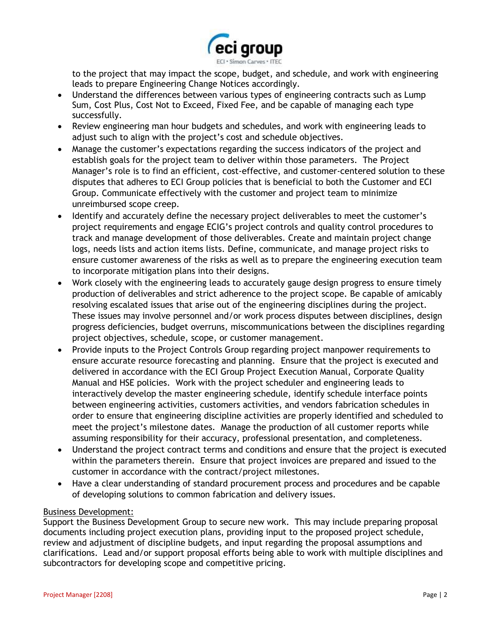

to the project that may impact the scope, budget, and schedule, and work with engineering leads to prepare Engineering Change Notices accordingly.

- Understand the differences between various types of engineering contracts such as Lump Sum, Cost Plus, Cost Not to Exceed, Fixed Fee, and be capable of managing each type successfully.
- Review engineering man hour budgets and schedules, and work with engineering leads to adjust such to align with the project's cost and schedule objectives.
- Manage the customer's expectations regarding the success indicators of the project and establish goals for the project team to deliver within those parameters. The Project Manager's role is to find an efficient, cost-effective, and customer-centered solution to these disputes that adheres to ECI Group policies that is beneficial to both the Customer and ECI Group. Communicate effectively with the customer and project team to minimize unreimbursed scope creep.
- Identify and accurately define the necessary project deliverables to meet the customer's project requirements and engage ECIG's project controls and quality control procedures to track and manage development of those deliverables. Create and maintain project change logs, needs lists and action items lists. Define, communicate, and manage project risks to ensure customer awareness of the risks as well as to prepare the engineering execution team to incorporate mitigation plans into their designs.
- Work closely with the engineering leads to accurately gauge design progress to ensure timely production of deliverables and strict adherence to the project scope. Be capable of amicably resolving escalated issues that arise out of the engineering disciplines during the project. These issues may involve personnel and/or work process disputes between disciplines, design progress deficiencies, budget overruns, miscommunications between the disciplines regarding project objectives, schedule, scope, or customer management.
- Provide inputs to the Project Controls Group regarding project manpower requirements to ensure accurate resource forecasting and planning. Ensure that the project is executed and delivered in accordance with the ECI Group Project Execution Manual, Corporate Quality Manual and HSE policies. Work with the project scheduler and engineering leads to interactively develop the master engineering schedule, identify schedule interface points between engineering activities, customers activities, and vendors fabrication schedules in order to ensure that engineering discipline activities are properly identified and scheduled to meet the project's milestone dates. Manage the production of all customer reports while assuming responsibility for their accuracy, professional presentation, and completeness.
- Understand the project contract terms and conditions and ensure that the project is executed within the parameters therein. Ensure that project invoices are prepared and issued to the customer in accordance with the contract/project milestones.
- Have a clear understanding of standard procurement process and procedures and be capable of developing solutions to common fabrication and delivery issues.

#### Business Development:

Support the Business Development Group to secure new work. This may include preparing proposal documents including project execution plans, providing input to the proposed project schedule, review and adjustment of discipline budgets, and input regarding the proposal assumptions and clarifications. Lead and/or support proposal efforts being able to work with multiple disciplines and subcontractors for developing scope and competitive pricing.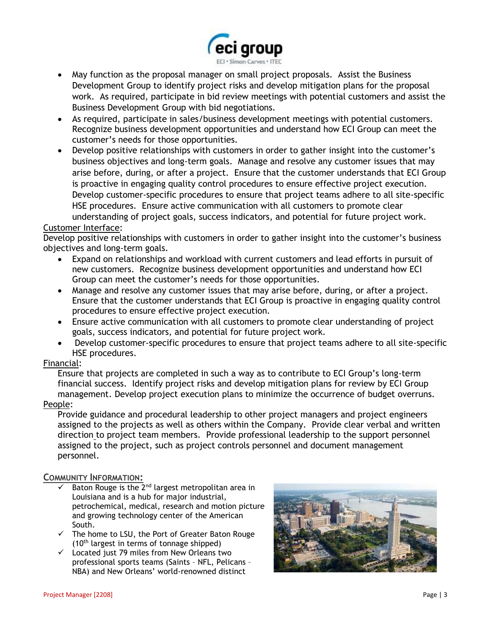

- May function as the proposal manager on small project proposals. Assist the Business Development Group to identify project risks and develop mitigation plans for the proposal work. As required, participate in bid review meetings with potential customers and assist the Business Development Group with bid negotiations.
- As required, participate in sales/business development meetings with potential customers. Recognize business development opportunities and understand how ECI Group can meet the customer's needs for those opportunities.
- Develop positive relationships with customers in order to gather insight into the customer's business objectives and long-term goals. Manage and resolve any customer issues that may arise before, during, or after a project. Ensure that the customer understands that ECI Group is proactive in engaging quality control procedures to ensure effective project execution. Develop customer-specific procedures to ensure that project teams adhere to all site-specific HSE procedures. Ensure active communication with all customers to promote clear understanding of project goals, success indicators, and potential for future project work.

#### Customer Interface:

Develop positive relationships with customers in order to gather insight into the customer's business objectives and long-term goals.

- Expand on relationships and workload with current customers and lead efforts in pursuit of new customers. Recognize business development opportunities and understand how ECI Group can meet the customer's needs for those opportunities.
- Manage and resolve any customer issues that may arise before, during, or after a project. Ensure that the customer understands that ECI Group is proactive in engaging quality control procedures to ensure effective project execution.
- Ensure active communication with all customers to promote clear understanding of project goals, success indicators, and potential for future project work.
- Develop customer-specific procedures to ensure that project teams adhere to all site-specific HSE procedures.

#### Financial:

Ensure that projects are completed in such a way as to contribute to ECI Group's long-term financial success. Identify project risks and develop mitigation plans for review by ECI Group management. Develop project execution plans to minimize the occurrence of budget overruns.

#### People:

Provide guidance and procedural leadership to other project managers and project engineers assigned to the projects as well as others within the Company. Provide clear verbal and written direction to project team members. Provide professional leadership to the support personnel assigned to the project, such as project controls personnel and document management personnel.

#### **COMMUNITY INFORMATION:**

- Baton Rouge is the 2<sup>nd</sup> largest metropolitan area in Louisiana and is a hub for major industrial, petrochemical, medical, research and motion picture and growing technology center of the American South.
- ✓ The home to LSU, the Port of Greater Baton Rouge (10th largest in terms of tonnage shipped)
- $\checkmark$  Located just 79 miles from New Orleans two professional sports teams (Saints – NFL, Pelicans – NBA) and New Orleans' world-renowned [distinct](https://en.wikipedia.org/wiki/Music_of_New_Orleans)